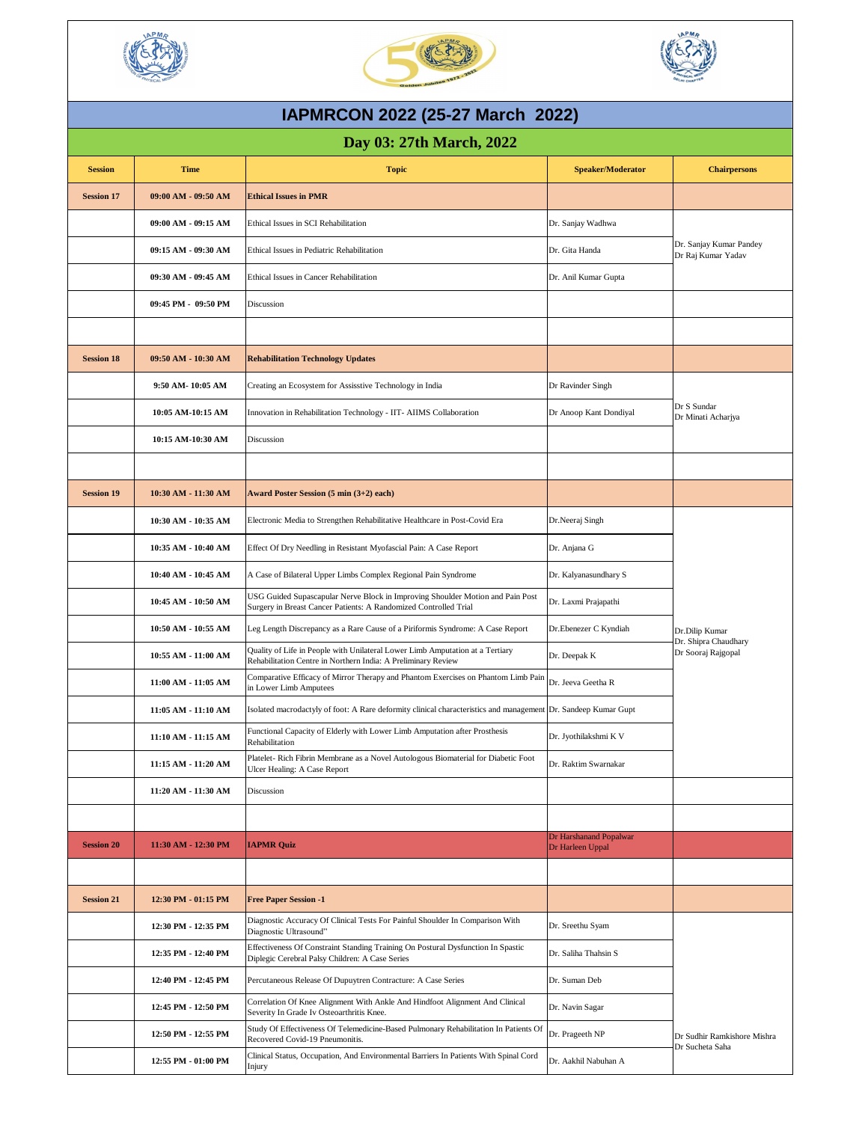| <b>Session</b>    | <b>Time</b>             | <b>Topic</b>                                                                                                                                       | <b>Speaker/Moderator</b>                   | <b>Chairpersons</b>                                          |
|-------------------|-------------------------|----------------------------------------------------------------------------------------------------------------------------------------------------|--------------------------------------------|--------------------------------------------------------------|
| <b>Session 17</b> | $09:00$ AM - $09:50$ AM | <b>Ethical Issues in PMR</b>                                                                                                                       |                                            |                                                              |
|                   | $09:00$ AM - $09:15$ AM | Ethical Issues in SCI Rehabilitation                                                                                                               | Dr. Sanjay Wadhwa                          | Dr. Sanjay Kumar Pandey<br>Dr Raj Kumar Yadav                |
|                   | 09:15 AM - 09:30 AM     | Ethical Issues in Pediatric Rehabilitation                                                                                                         | Dr. Gita Handa                             |                                                              |
|                   | 09:30 AM - 09:45 AM     | <b>Ethical Issues in Cancer Rehabilitation</b>                                                                                                     | Dr. Anil Kumar Gupta                       |                                                              |
|                   | $09:45$ PM - $09:50$ PM | Discussion                                                                                                                                         |                                            |                                                              |
|                   |                         |                                                                                                                                                    |                                            |                                                              |
| <b>Session 18</b> | 09:50 AM - 10:30 AM     | <b>Rehabilitation Technology Updates</b>                                                                                                           |                                            |                                                              |
|                   | 9:50 AM-10:05 AM        | Creating an Ecosystem for Assisstive Technology in India                                                                                           | Dr Ravinder Singh                          |                                                              |
|                   | 10:05 AM-10:15 AM       | Innovation in Rehabilitation Technology - IIT- AIIMS Collaboration                                                                                 | Dr Anoop Kant Dondiyal                     | Dr S Sundar<br>Dr Minati Acharjya                            |
|                   | 10:15 AM-10:30 AM       | Discussion                                                                                                                                         |                                            |                                                              |
|                   |                         |                                                                                                                                                    |                                            |                                                              |
| <b>Session 19</b> | 10:30 AM - 11:30 AM     | <b>Award Poster Session <math>(5 \text{ min } (3+2) \text{ each})</math></b>                                                                       |                                            |                                                              |
|                   | 10:30 AM - 10:35 AM     | Electronic Media to Strengthen Rehabilitative Healthcare in Post-Covid Era                                                                         | Dr.Neeraj Singh                            | Dr.Dilip Kumar<br>Dr. Shipra Chaudhary<br>Dr Sooraj Rajgopal |
|                   | 10:35 AM - 10:40 AM     | Effect Of Dry Needling in Resistant Myofascial Pain: A Case Report                                                                                 | Dr. Anjana G                               |                                                              |
|                   | 10:40 AM - 10:45 AM     | A Case of Bilateral Upper Limbs Complex Regional Pain Syndrome                                                                                     | Dr. Kalyanasundhary S                      |                                                              |
|                   | 10:45 AM - 10:50 AM     | USG Guided Supascapular Nerve Block in Improving Shoulder Motion and Pain Post<br>Surgery in Breast Cancer Patients: A Randomized Controlled Trial | Dr. Laxmi Prajapathi                       |                                                              |
|                   | 10:50 AM - 10:55 AM     | Leg Length Discrepancy as a Rare Cause of a Piriformis Syndrome: A Case Report                                                                     | Dr. Ebenezer C Kyndiah                     |                                                              |
|                   | 10:55 AM - 11:00 AM     | Quality of Life in People with Unilateral Lower Limb Amputation at a Tertiary<br>Rehabilitation Centre in Northern India: A Preliminary Review     | Dr. Deepak K                               |                                                              |
|                   | 11:00 AM - 11:05 AM     | Comparative Efficacy of Mirror Therapy and Phantom Exercises on Phantom Limb Pain<br>in Lower Limb Amputees                                        | Dr. Jeeva Geetha R                         |                                                              |
|                   | 11:05 AM - 11:10 AM     | Isolated macrodactyly of foot: A Rare deformity clinical characteristics and management Dr. Sandeep Kumar Gupt                                     |                                            |                                                              |
|                   | 11:10 AM - 11:15 AM     | Functional Capacity of Elderly with Lower Limb Amputation after Prosthesis<br>Rehabilitation                                                       | Dr. Jyothilakshmi K V                      |                                                              |
|                   | 11:15 AM - 11:20 AM     | Platelet- Rich Fibrin Membrane as a Novel Autologous Biomaterial for Diabetic Foot<br><b>Ulcer Healing: A Case Report</b>                          | Dr. Raktim Swarnakar                       |                                                              |
|                   | 11:20 AM - 11:30 AM     | Discussion                                                                                                                                         |                                            |                                                              |
|                   |                         |                                                                                                                                                    |                                            |                                                              |
| <b>Session 20</b> | 11:30 AM - 12:30 PM     | <b>IAPMR Quiz</b>                                                                                                                                  | Dr Harshanand Popalwar<br>Dr Harleen Uppal |                                                              |
|                   |                         |                                                                                                                                                    |                                            |                                                              |
| <b>Session 21</b> | 12:30 PM - 01:15 PM     | <b>Free Paper Session -1</b>                                                                                                                       |                                            |                                                              |
|                   | 12:30 PM - 12:35 PM     | Diagnostic Accuracy Of Clinical Tests For Painful Shoulder In Comparison With<br>Diagnostic Ultrasound"                                            | Dr. Sreethu Syam                           |                                                              |
|                   | 12:35 PM - 12:40 PM     | Effectiveness Of Constraint Standing Training On Postural Dysfunction In Spastic<br>Diplegic Cerebral Palsy Children: A Case Series                | Dr. Saliha Thahsin S                       |                                                              |
|                   | 12:40 PM - 12:45 PM     | Percutaneous Release Of Dupuytren Contracture: A Case Series                                                                                       | Dr. Suman Deb                              |                                                              |
|                   | 12:45 PM - 12:50 PM     | Correlation Of Knee Alignment With Ankle And Hindfoot Alignment And Clinical<br>Severity In Grade Iv Osteoarthritis Knee.                          | Dr. Navin Sagar                            |                                                              |
|                   | 12:50 PM - 12:55 PM     | Study Of Effectiveness Of Telemedicine-Based Pulmonary Rehabilitation In Patients Of<br>Recovered Covid-19 Pneumonitis.                            | Dr. Prageeth NP                            | Dr Sudhir Ramkishore Mishra                                  |
|                   | 12:55 PM - 01:00 PM     | Clinical Status, Occupation, And Environmental Barriers In Patients With Spinal Cord<br>Injury                                                     | Dr. Aakhil Nabuhan A                       | Dr Sucheta Saha                                              |

**Day 03: 27th March, 2022**







## **IAPMRCON 2022 (25-27 March 2022)**